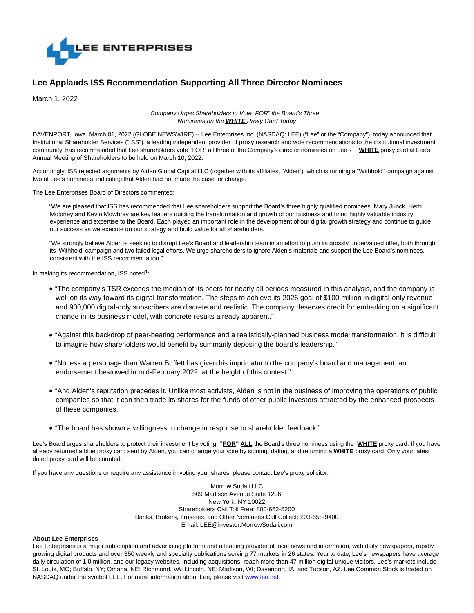

## **Lee Applauds ISS Recommendation Supporting All Three Director Nominees**

March 1, 2022

Company Urges Shareholders to Vote "FOR" the Board's Three Nominees on the **WHITE** Proxy Card Today

DAVENPORT, Iowa, March 01, 2022 (GLOBE NEWSWIRE) -- Lee Enterprises Inc. (NASDAQ: LEE) ("Lee" or the "Company"), today announced that Institutional Shareholder Services ("ISS"), a leading independent provider of proxy research and vote recommendations to the institutional investment community, has recommended that Lee shareholders vote "FOR" all three of the Company's director nominees on Lee's **WHITE** proxy card at Lee's Annual Meeting of Shareholders to be held on March 10, 2022.

Accordingly, ISS rejected arguments by Alden Global Capital LLC (together with its affiliates, "Alden"), which is running a "Withhold" campaign against two of Lee's nominees, indicating that Alden had not made the case for change.

The Lee Enterprises Board of Directors commented:

"We are pleased that ISS has recommended that Lee shareholders support the Board's three highly qualified nominees. Mary Junck, Herb Moloney and Kevin Mowbray are key leaders guiding the transformation and growth of our business and bring highly valuable industry experience and expertise to the Board. Each played an important role in the development of our digital growth strategy and continue to guide our success as we execute on our strategy and build value for all shareholders.

"We strongly believe Alden is seeking to disrupt Lee's Board and leadership team in an effort to push its grossly undervalued offer, both through its 'Withhold' campaign and two failed legal efforts. We urge shareholders to ignore Alden's materials and support the Lee Board's nominees, consistent with the ISS recommendation."

In making its recommendation, ISS noted<sup>1</sup>:

- "The company's TSR exceeds the median of its peers for nearly all periods measured in this analysis, and the company is well on its way toward its digital transformation. The steps to achieve its 2026 goal of \$100 million in digital-only revenue and 900,000 digital-only subscribers are discrete and realistic. The company deserves credit for embarking on a significant change in its business model, with concrete results already apparent."
- "Against this backdrop of peer-beating performance and a realistically-planned business model transformation, it is difficult to imagine how shareholders would benefit by summarily deposing the board's leadership."
- "No less a personage than Warren Buffett has given his imprimatur to the company's board and management, an endorsement bestowed in mid-February 2022, at the height of this contest."
- "And Alden's reputation precedes it. Unlike most activists, Alden is not in the business of improving the operations of public companies so that it can then trade its shares for the funds of other public investors attracted by the enhanced prospects of these companies."
- "The board has shown a willingness to change in response to shareholder feedback."

Lee's Board urges shareholders to protect their investment by voting **"FOR" ALL** the Board's three nominees using the **WHITE** proxy card. If you have already returned a blue proxy card sent by Alden, you can change your vote by signing, dating, and returning a **WHITE** proxy card. Only your latest dated proxy card will be counted.

If you have any questions or require any assistance in voting your shares, please contact Lee's proxy solicitor:

Morrow Sodali LLC 509 Madison Avenue Suite 1206 New York, NY 10022 Shareholders Call Toll Free: 800-662-5200 Banks, Brokers, Trustees, and Other Nominees Call Collect: 203-658-9400 Email: LEE@investor.MorrowSodali.com

## **About Lee Enterprises**

Lee Enterprises is a major subscription and advertising platform and a leading provider of local news and information, with daily newspapers, rapidly growing digital products and over 350 weekly and specialty publications serving 77 markets in 26 states. Year to date, Lee's newspapers have average daily circulation of 1.0 million, and our legacy websites, including acquisitions, reach more than 47 million digital unique visitors. Lee's markets include St. Louis, MO; Buffalo, NY; Omaha, NE; Richmond, VA; Lincoln, NE; Madison, WI; Davenport, IA; and Tucson, AZ. Lee Common Stock is traded on NASDAQ under the symbol LEE. For more information about Lee, please visit [www.lee.net.](https://www.globenewswire.com/Tracker?data=UTulU3JO5SYhctX377_-KXge648b7ORBffQmI5M3_I_NN3T2BbKTE60n-9VkYiQbs2uOZPF29e7SJFcLwhXEMA==)